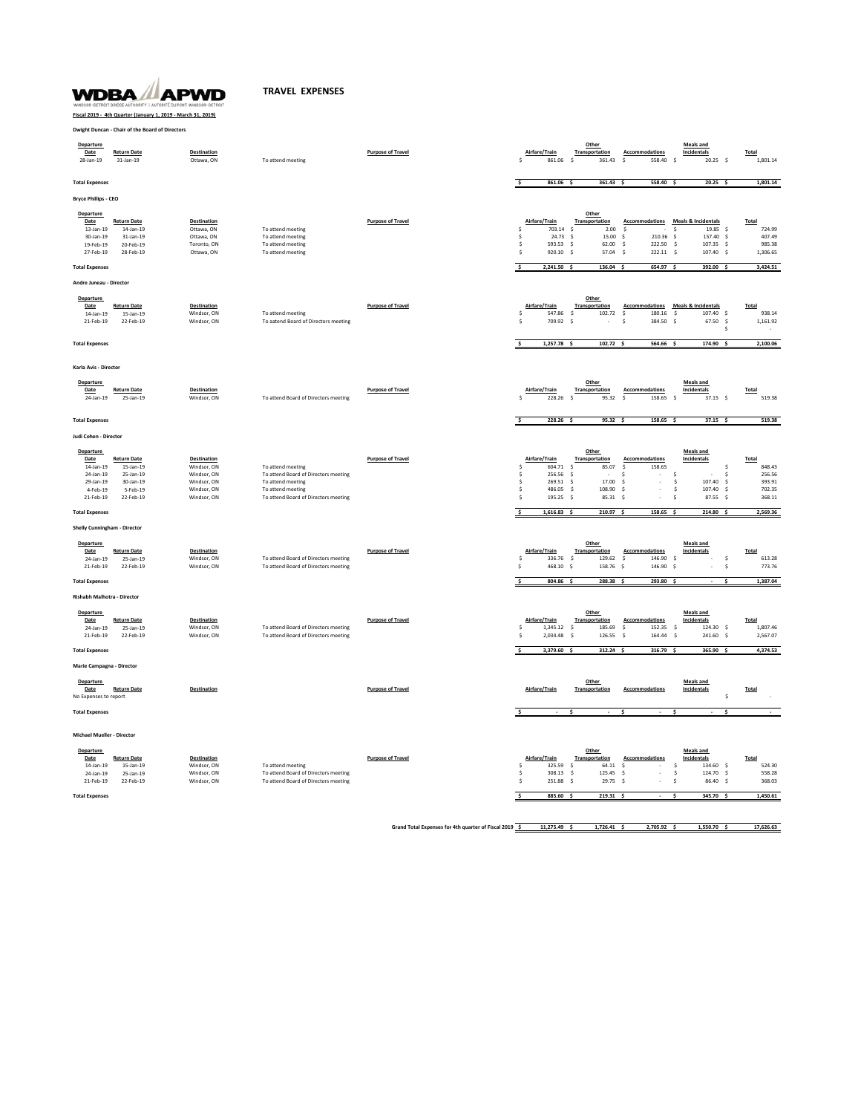

## **TRAVEL EXPENSES**

**Dwight Duncan - Chair of the Board of Directors Fiscal 2019 - 4th Quarter (January 1, 2019 - March 31, 2019)**

| Departure<br>Date<br>28-Jan-19                                                          | <b>Return Date</b><br>31-Jan-19                                                    | <b>Destination</b><br>Ottawa, ON                                                              | To attend meeting                                                                                                                           | <b>Purpose of Travel</b> | Airfare/Train<br>861.06<br><sub>S</sub>                                                                       | Other<br>Transportation<br>s<br>361.43                                                                                               | <b>Accommodations</b><br>$\mathsf{s}$<br>558.40<br>$\mathsf{S}$                                                                                                                          | <b>Meals and</b><br>Incidentals<br>$20.25$ \$                                                                      | Total<br>1,801.14                                                   |
|-----------------------------------------------------------------------------------------|------------------------------------------------------------------------------------|-----------------------------------------------------------------------------------------------|---------------------------------------------------------------------------------------------------------------------------------------------|--------------------------|---------------------------------------------------------------------------------------------------------------|--------------------------------------------------------------------------------------------------------------------------------------|------------------------------------------------------------------------------------------------------------------------------------------------------------------------------------------|--------------------------------------------------------------------------------------------------------------------|---------------------------------------------------------------------|
| <b>Total Expenses</b>                                                                   |                                                                                    |                                                                                               |                                                                                                                                             |                          | 861.06 \$<br>s.                                                                                               | $361.43$ S                                                                                                                           | 558.40 S                                                                                                                                                                                 | $20.25$ \$                                                                                                         | 1,801.14                                                            |
| <b>Bryce Phillips - CEO</b>                                                             |                                                                                    |                                                                                               |                                                                                                                                             |                          |                                                                                                               |                                                                                                                                      |                                                                                                                                                                                          |                                                                                                                    |                                                                     |
| Departure<br>Date<br>13-Jan-19<br>30-Jan-19<br>19-Feb-19<br>27-Feb-19                   | <b>Return Date</b><br>14-Jan-19<br>31-Jan-19<br>20-Feb-19<br>28-Feb-19             | <b>Destination</b><br>Ottawa, ON<br>Ottawa, ON<br>Toronto, ON<br>Ottawa, ON                   | To attend meeting<br>To attend meeting<br>To attend meeting<br>To attend meeting                                                            | <b>Purpose of Travel</b> | Airfare/Train<br>703.14 \$<br>Ś<br>24.73<br>s.<br>s<br>593.53<br>s<br>920.10                                  | Other<br>Transportation<br>2.00<br>15.00<br>- s<br>$\mathsf S$<br>62.00<br>57.04<br>- s                                              | <b>Accommodations</b> Meals & Incidentals<br>$\mathsf S$<br>-S<br>210.36 \$<br>-S<br>s<br>222.50<br>$\mathsf S$<br>222.11 \$<br>$\mathsf{s}$                                             | 19.85 \$<br>157.40 S<br>107.35<br>$\mathsf{s}$<br>107.40 \$                                                        | Total<br>724.99<br>407.49<br>985.38<br>1.306.65                     |
| <b>Total Expenses</b>                                                                   |                                                                                    |                                                                                               |                                                                                                                                             |                          | ॱऽ<br>$2,241.50$ \$                                                                                           | 136.04 S                                                                                                                             | 654.97 S                                                                                                                                                                                 | 392.00 S                                                                                                           | 3,424.51                                                            |
| Andre Juneau - Director                                                                 |                                                                                    |                                                                                               |                                                                                                                                             |                          |                                                                                                               |                                                                                                                                      |                                                                                                                                                                                          |                                                                                                                    |                                                                     |
| Departure<br>Date<br>$14$ -Jan- $19$<br>21-Feb-19                                       | <b>Return Date</b><br>15-Jan-19<br>22-Feb-19                                       | <b>Destination</b><br>Windsor, ON<br>Windsor, ON                                              | To attend meeting<br>To aatend Board of Directors meeting                                                                                   | <b>Purpose of Travel</b> | Airfare/Train<br>547.86<br>s<br><sub>S</sub><br>709.92                                                        | Other<br>Transportation<br>102.72<br>s.<br>-\$                                                                                       | Accommodations Meals & Incidentals<br>180.16<br>$\mathsf{s}$<br>-S<br>-\$<br>384.50<br>s                                                                                                 | 107.40 \$<br>67.50 \$<br><sub>S</sub>                                                                              | <b>Total</b><br>938.14<br>1,161.92                                  |
| <b>Total Expenses</b>                                                                   |                                                                                    |                                                                                               |                                                                                                                                             |                          | 1,257.78 \$                                                                                                   | 102.72                                                                                                                               | 564.66                                                                                                                                                                                   | 174.90 \$                                                                                                          | 2,100.06                                                            |
| Karla Avis - Director                                                                   |                                                                                    |                                                                                               |                                                                                                                                             |                          |                                                                                                               |                                                                                                                                      |                                                                                                                                                                                          |                                                                                                                    |                                                                     |
| Departure<br>Date<br>24-Jan-19                                                          | <b>Return Date</b><br>25-Jan-19                                                    | Destination<br>Windsor, ON                                                                    | To attend Board of Directors meeting                                                                                                        | <b>Purpose of Travel</b> | Airfare/Train<br>228.26<br>$\mathbf{S}$                                                                       | Other<br>Transportation<br>-S<br>95.32                                                                                               | <b>Accommodations</b><br>158.65<br>$\sim$<br>- S                                                                                                                                         | <b>Meals and</b><br>Incidentals<br>37.15 S                                                                         | Total<br>519.38                                                     |
| <b>Total Expenses</b>                                                                   |                                                                                    |                                                                                               |                                                                                                                                             |                          | 228.26<br><b>s</b>                                                                                            | 95.32<br>$\sim$                                                                                                                      | 158.65                                                                                                                                                                                   | 37.15                                                                                                              | 519.38                                                              |
| Judi Cohen - Director                                                                   |                                                                                    |                                                                                               |                                                                                                                                             |                          |                                                                                                               |                                                                                                                                      |                                                                                                                                                                                          |                                                                                                                    |                                                                     |
| Departure<br>Date<br>$14$ -Jan- $19$<br>24-Jan-19<br>29-Jan-19<br>4-Feb-19<br>21-Feb-19 | <b>Return Date</b><br>15-Jan-19<br>25-Jan-19<br>30-Jan-19<br>5-Feb-19<br>22-Feb-19 | <b>Destination</b><br>Windsor, ON<br>Windsor, ON<br>Windsor, ON<br>Windsor, ON<br>Windsor, ON | To attend meeting<br>To attend Board of Directors meeting<br>To attend meeting<br>To attend meeting<br>To attend Board of Directors meeting | <b>Purpose of Travel</b> | Airfare/Train<br>604.71<br>s<br>256.56<br>\$<br>s<br>269.51<br>486.05<br>s<br>s<br>195.25<br>1,616.83 \$<br>s | Other<br>Transportation<br>$\mathsf S$<br>85.07<br>$\mathsf{S}$<br>$\sqrt{2}$<br>17.00<br>\$<br>108.90<br>- \$<br>85.31<br>210.97 \$ | <b>Accommodations</b><br>$\mathsf{S}$<br>158.65<br>-S<br>-S<br>$\overline{\phantom{a}}$<br>-\$<br>$\sim$<br><b>s</b><br>s<br>÷<br>s.<br>-S<br>s<br>$\overline{\phantom{a}}$<br>158.65 \$ | <b>Meals</b> and<br>Incidentals<br>\$<br><b>s</b><br>107.40<br>$\sqrt{2}$<br>107.40<br>-S<br>87.55 \$<br>214.80 \$ | Total<br>848.43<br>256.56<br>393.91<br>702.35<br>368.11<br>2,569.36 |
| <b>Total Expenses</b><br><b>Shelly Cunningham - Director</b>                            |                                                                                    |                                                                                               |                                                                                                                                             |                          |                                                                                                               |                                                                                                                                      |                                                                                                                                                                                          |                                                                                                                    |                                                                     |
| Departure<br>Date<br>24-Jan-19<br>21-Feb-19<br><b>Total Expenses</b>                    | <b>Return Date</b><br>25-Jan-19<br>22-Feb-19                                       | Destination<br>Windsor, ON<br>Windsor, ON                                                     | To attend Board of Directors meeting<br>To attend Board of Directors meeting                                                                | <b>Purpose of Travel</b> | Airfare/Train<br>336.76<br>s<br>\$<br>468.10<br>804.86 \$<br>s                                                | Other<br>Transportation<br>129.62<br>$\mathsf{s}$<br>S.<br>158.76<br>288.38 S                                                        | <b>Accommodations</b><br>146.90<br>- S<br>- s<br>s<br>146.90<br>s<br>293.80 \$                                                                                                           | <b>Meals and</b><br>Incidentals<br>-S<br>$\mathsf{S}$<br>×<br>ś                                                    | Total<br>613.28<br>773.76<br>1,387.04                               |
| Rishabh Malhotra - Director                                                             |                                                                                    |                                                                                               |                                                                                                                                             |                          |                                                                                                               |                                                                                                                                      |                                                                                                                                                                                          |                                                                                                                    |                                                                     |
| Departure<br>Date<br>24-Jan-19<br>21-Feb-19<br><b>Total Expenses</b>                    | <b>Return Date</b><br>25-Jan-19<br>22-Feb-19                                       | Destination<br>Windsor, ON<br>Windsor, ON                                                     | To attend Board of Directors meeting<br>To attend Board of Directors meeting                                                                | <b>Purpose of Travel</b> | Airfare/Train<br>1,345.12<br><sub>S</sub><br>2,034.48<br><sub>S</sub><br>3,379.60 \$<br>s                     | Other<br>Transportation<br>$\mathsf{S}$<br>185.69<br><sub>S</sub><br>126.55<br>312.24 \$                                             | <b>Accommodations</b><br>s<br>152.35<br>$\mathsf{s}$<br>$\mathsf S$<br>164.44<br>$\mathsf{s}$<br>316.79 \$                                                                               | <b>Meals and</b><br>Incidentals<br>124.30 \$<br>241.60<br>$\mathsf{s}$<br>365.90 \$                                | Total<br>1,807.46<br>2,567.07<br>4,374.53                           |
| Marie Campagna - Director                                                               |                                                                                    |                                                                                               |                                                                                                                                             |                          |                                                                                                               |                                                                                                                                      |                                                                                                                                                                                          |                                                                                                                    |                                                                     |
| Departure<br>Date<br>No Expenses to report<br><b>Total Expenses</b>                     | <b>Return Date</b>                                                                 | <b>Destination</b>                                                                            |                                                                                                                                             | <b>Purpose of Travel</b> | Airfare/Train                                                                                                 | Other<br><b>Transportation</b>                                                                                                       | <b>Accommodations</b>                                                                                                                                                                    | <b>Meals and</b><br>Incidentals<br>s<br>ś                                                                          | Total                                                               |
| <b>Michael Mueller - Director</b>                                                       |                                                                                    |                                                                                               |                                                                                                                                             |                          |                                                                                                               |                                                                                                                                      |                                                                                                                                                                                          |                                                                                                                    |                                                                     |
| Departure<br>Date<br>14-Jan-19<br>24-Jan-19<br>21-Feb-19<br><b>Total Expenses</b>       | <b>Return Date</b><br>15-Jan-19<br>25-Jan-19<br>22-Feb-19                          | Destination<br>Windsor, ON<br>Windsor, ON<br>Windsor, ON                                      | To attend meeting<br>To attend Board of Directors meeting<br>To attend Board of Directors meeting                                           | <b>Purpose of Travel</b> | Airfare/Train<br>325.59<br>\$<br>308.13<br>\$<br>251.88<br><sub>S</sub><br>885.60 \$<br>s                     | Other<br>Transportation<br>$\mathsf S$<br>64.11<br>$\mathsf{S}$<br>125.45<br><sub>S</sub><br>29.75<br>219.31                         | Accommodations<br>$\mathsf{S}$<br>-S<br>s.<br>s.<br>- S<br>-S                                                                                                                            | <b>Meals and</b><br>Incidentals<br>134.60 \$<br>124.70 \$<br>86.40 S<br>345.70 \$                                  | <b>Total</b><br>524.30<br>558.28<br>368.03<br>1,450.61              |
|                                                                                         |                                                                                    |                                                                                               |                                                                                                                                             |                          |                                                                                                               |                                                                                                                                      |                                                                                                                                                                                          |                                                                                                                    |                                                                     |

**Grand Total Expenses for 4th quarter of Fiscal 2019 \$ 11,275.49 \$ 1,726.41 \$ 2,705.92 \$ 1,550.70 \$ 17,626.63**